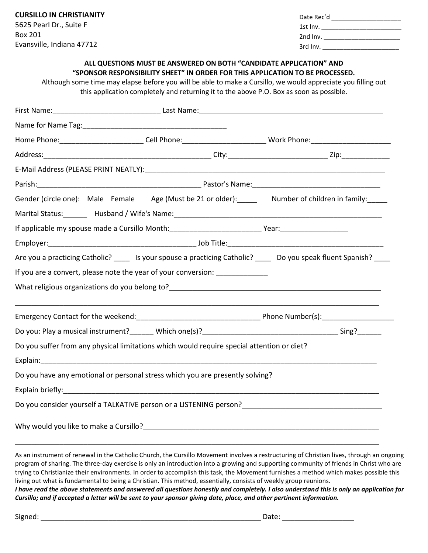Evansville, Indiana 47712

| Date Rec'd |  |  |
|------------|--|--|
| 1st Inv.   |  |  |
| 2nd Inv.   |  |  |
| 3rd Inv.   |  |  |

## **ALL QUESTIONS MUST BE ANSWERED ON BOTH "CANDIDATE APPLICATION" AND "SPONSOR RESPONSIBILITY SHEET" IN ORDER FOR THIS APPLICATION TO BE PROCESSED.**

Although some time may elapse before you will be able to make a Cursillo, we would appreciate you filling out this application completely and returning it to the above P.O. Box as soon as possible.

| Home Phone:__________________________Cell Phone:____________________________Work Phone:_______________________     |  |  |  |  |  |
|--------------------------------------------------------------------------------------------------------------------|--|--|--|--|--|
|                                                                                                                    |  |  |  |  |  |
|                                                                                                                    |  |  |  |  |  |
|                                                                                                                    |  |  |  |  |  |
| Gender (circle one): Male Female Age (Must be 21 or older): ______ Number of children in family: ____              |  |  |  |  |  |
|                                                                                                                    |  |  |  |  |  |
| If applicable my spouse made a Cursillo Month:__________________________________Year:________________________      |  |  |  |  |  |
|                                                                                                                    |  |  |  |  |  |
| Are you a practicing Catholic? _____ Is your spouse a practicing Catholic? _____ Do you speak fluent Spanish? ____ |  |  |  |  |  |
| If you are a convert, please note the year of your conversion: ________________                                    |  |  |  |  |  |
|                                                                                                                    |  |  |  |  |  |
|                                                                                                                    |  |  |  |  |  |
|                                                                                                                    |  |  |  |  |  |
|                                                                                                                    |  |  |  |  |  |
| Do you suffer from any physical limitations which would require special attention or diet?                         |  |  |  |  |  |
| Explain: 2008 2009 2010 2020 2021 2022 2023 2024 2022 2023 2024 2022 2023 2024 2022 2023 2024 2022 2023 2024 20    |  |  |  |  |  |
| Do you have any emotional or personal stress which you are presently solving?                                      |  |  |  |  |  |
|                                                                                                                    |  |  |  |  |  |
|                                                                                                                    |  |  |  |  |  |
|                                                                                                                    |  |  |  |  |  |

As an instrument of renewal in the Catholic Church, the Cursillo Movement involves a restructuring of Christian lives, through an ongoing program of sharing. The three-day exercise is only an introduction into a growing and supporting community of friends in Christ who are trying to Christianize their environments. In order to accomplish this task, the Movement furnishes a method which makes possible this living out what is fundamental to being a Christian. This method, essentially, consists of weekly group reunions.

*I have read the above statements and answered all questions honestly and completely. I also understand this is only an application for Cursillo; and if accepted a letter will be sent to your sponsor giving date, place, and other pertinent information.*